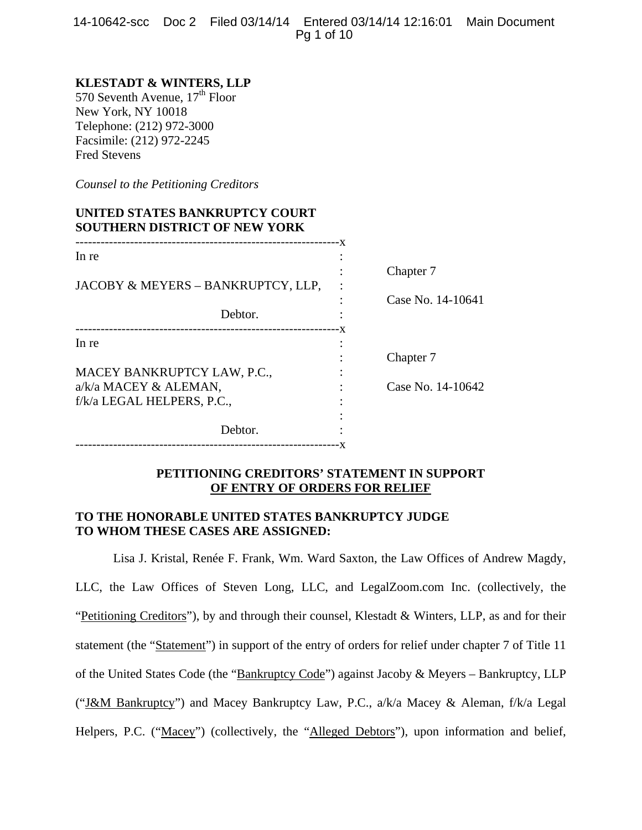14-10642-scc Doc 2 Filed 03/14/14 Entered 03/14/14 12:16:01 Main Document Pg 1 of 10

# **KLESTADT & WINTERS, LLP**

570 Seventh Avenue, 17<sup>th</sup> Floor New York, NY 10018 Telephone: (212) 972-3000 Facsimile: (212) 972-2245 Fred Stevens

*Counsel to the Petitioning Creditors* 

# **UNITED STATES BANKRUPTCY COURT SOUTHERN DISTRICT OF NEW YORK**

| In re                                               | – X |                   |
|-----------------------------------------------------|-----|-------------------|
|                                                     |     | Chapter 7         |
| JACOBY & MEYERS - BANKRUPTCY, LLP,                  |     |                   |
| Debtor.                                             |     | Case No. 14-10641 |
| --------------------------<br>In re                 | - X |                   |
| MACEY BANKRUPTCY LAW, P.C.,                         |     | Chapter 7         |
| a/k/a MACEY & ALEMAN,<br>f/k/a LEGAL HELPERS, P.C., |     | Case No. 14-10642 |
|                                                     |     |                   |
| Debtor.                                             |     |                   |

# **PETITIONING CREDITORS' STATEMENT IN SUPPORT OF ENTRY OF ORDERS FOR RELIEF**

# **TO THE HONORABLE UNITED STATES BANKRUPTCY JUDGE TO WHOM THESE CASES ARE ASSIGNED:**

Lisa J. Kristal, Renée F. Frank, Wm. Ward Saxton, the Law Offices of Andrew Magdy, LLC, the Law Offices of Steven Long, LLC, and LegalZoom.com Inc. (collectively, the "Petitioning Creditors"), by and through their counsel, Klestadt & Winters, LLP, as and for their statement (the "Statement") in support of the entry of orders for relief under chapter 7 of Title 11 of the United States Code (the "Bankruptcy Code") against Jacoby & Meyers – Bankruptcy, LLP ("J&M Bankruptcy") and Macey Bankruptcy Law, P.C., a/k/a Macey & Aleman, f/k/a Legal Helpers, P.C. ("Macey") (collectively, the "Alleged Debtors"), upon information and belief,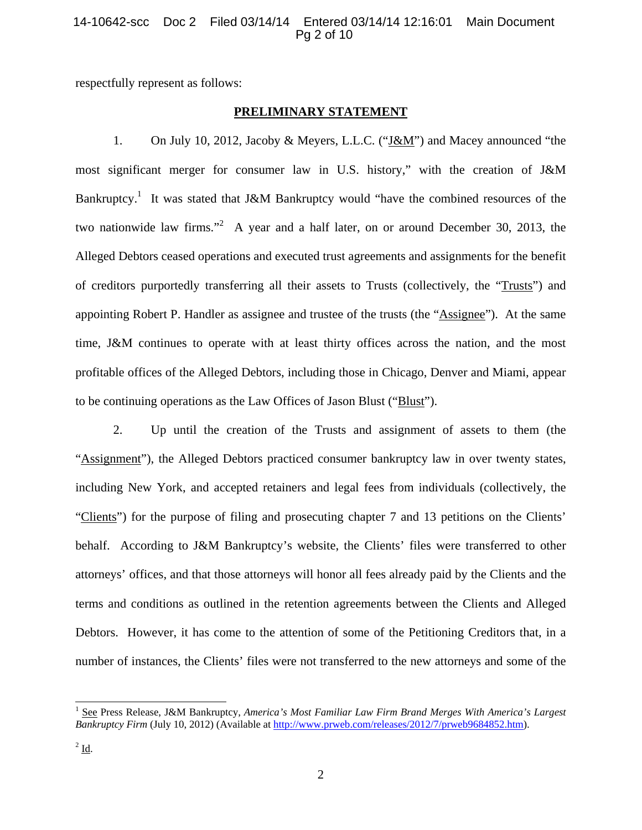# 14-10642-scc Doc 2 Filed 03/14/14 Entered 03/14/14 12:16:01 Main Document Pg 2 of 10

respectfully represent as follows:

# **PRELIMINARY STATEMENT**

1. On July 10, 2012, Jacoby & Meyers, L.L.C. ("J&M") and Macey announced "the most significant merger for consumer law in U.S. history," with the creation of J&M Bankruptcy.<sup>1</sup> It was stated that J&M Bankruptcy would "have the combined resources of the two nationwide law firms."<sup>2</sup> A year and a half later, on or around December 30, 2013, the Alleged Debtors ceased operations and executed trust agreements and assignments for the benefit of creditors purportedly transferring all their assets to Trusts (collectively, the "Trusts") and appointing Robert P. Handler as assignee and trustee of the trusts (the "Assignee"). At the same time, J&M continues to operate with at least thirty offices across the nation, and the most profitable offices of the Alleged Debtors, including those in Chicago, Denver and Miami, appear to be continuing operations as the Law Offices of Jason Blust ("Blust").

2. Up until the creation of the Trusts and assignment of assets to them (the "Assignment"), the Alleged Debtors practiced consumer bankruptcy law in over twenty states, including New York, and accepted retainers and legal fees from individuals (collectively, the "Clients") for the purpose of filing and prosecuting chapter 7 and 13 petitions on the Clients' behalf. According to J&M Bankruptcy's website, the Clients' files were transferred to other attorneys' offices, and that those attorneys will honor all fees already paid by the Clients and the terms and conditions as outlined in the retention agreements between the Clients and Alleged Debtors. However, it has come to the attention of some of the Petitioning Creditors that, in a number of instances, the Clients' files were not transferred to the new attorneys and some of the

<sup>&</sup>lt;sup>1</sup> See Press Release, J&M Bankruptcy, *America's Most Familiar Law Firm Brand Merges With America's Largest Bankruptcy Firm* (July 10, 2012) (Available at http://www.prweb.com/releases/2012/7/prweb9684852.htm).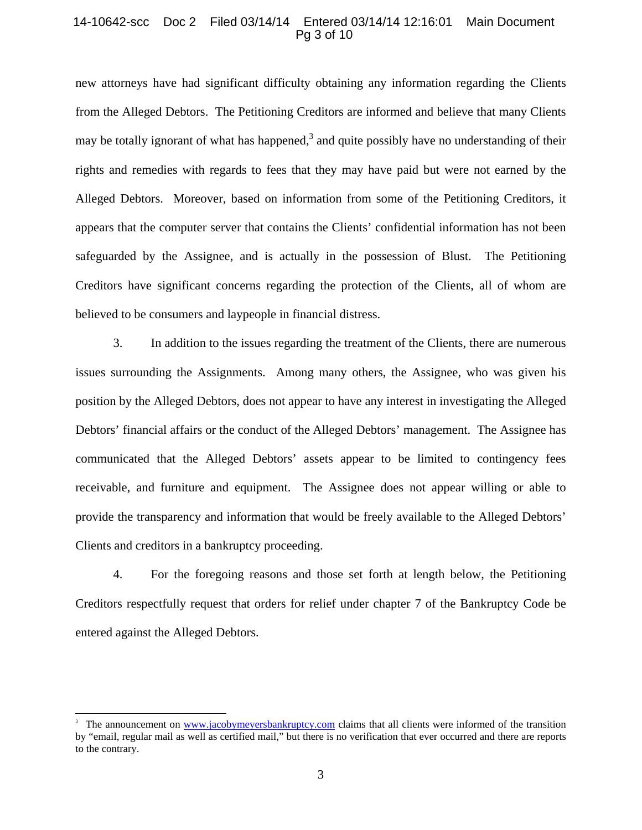### 14-10642-scc Doc 2 Filed 03/14/14 Entered 03/14/14 12:16:01 Main Document Pg 3 of 10

new attorneys have had significant difficulty obtaining any information regarding the Clients from the Alleged Debtors. The Petitioning Creditors are informed and believe that many Clients may be totally ignorant of what has happened,<sup>3</sup> and quite possibly have no understanding of their rights and remedies with regards to fees that they may have paid but were not earned by the Alleged Debtors. Moreover, based on information from some of the Petitioning Creditors, it appears that the computer server that contains the Clients' confidential information has not been safeguarded by the Assignee, and is actually in the possession of Blust. The Petitioning Creditors have significant concerns regarding the protection of the Clients, all of whom are believed to be consumers and laypeople in financial distress.

3. In addition to the issues regarding the treatment of the Clients, there are numerous issues surrounding the Assignments. Among many others, the Assignee, who was given his position by the Alleged Debtors, does not appear to have any interest in investigating the Alleged Debtors' financial affairs or the conduct of the Alleged Debtors' management. The Assignee has communicated that the Alleged Debtors' assets appear to be limited to contingency fees receivable, and furniture and equipment. The Assignee does not appear willing or able to provide the transparency and information that would be freely available to the Alleged Debtors' Clients and creditors in a bankruptcy proceeding.

4. For the foregoing reasons and those set forth at length below, the Petitioning Creditors respectfully request that orders for relief under chapter 7 of the Bankruptcy Code be entered against the Alleged Debtors.

<sup>3</sup> The announcement on www.jacobymeyersbankruptcy.com claims that all clients were informed of the transition by "email, regular mail as well as certified mail," but there is no verification that ever occurred and there are reports to the contrary.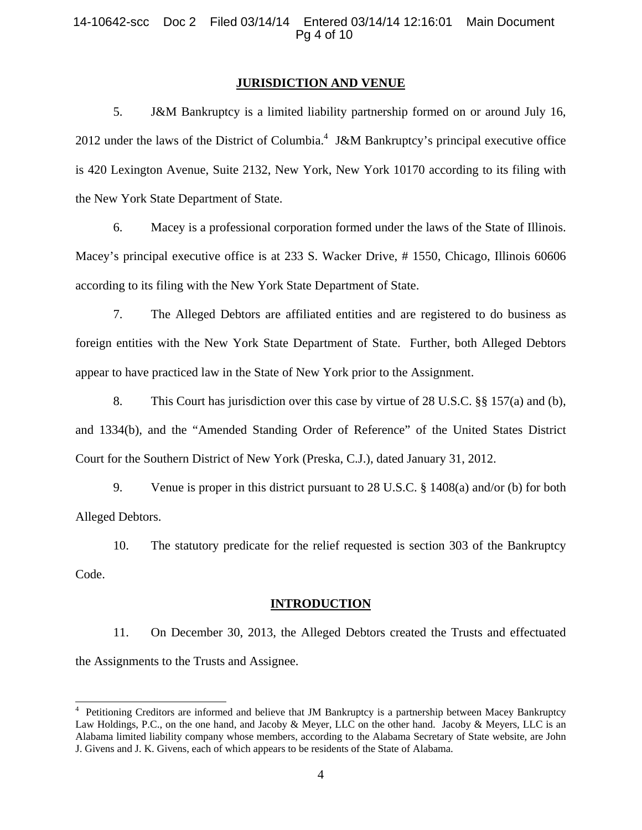#### **JURISDICTION AND VENUE**

5. J&M Bankruptcy is a limited liability partnership formed on or around July 16, 2012 under the laws of the District of Columbia.<sup>4</sup> J&M Bankruptcy's principal executive office is 420 Lexington Avenue, Suite 2132, New York, New York 10170 according to its filing with the New York State Department of State.

6. Macey is a professional corporation formed under the laws of the State of Illinois. Macey's principal executive office is at 233 S. Wacker Drive, # 1550, Chicago, Illinois 60606 according to its filing with the New York State Department of State.

7. The Alleged Debtors are affiliated entities and are registered to do business as foreign entities with the New York State Department of State. Further, both Alleged Debtors appear to have practiced law in the State of New York prior to the Assignment.

8. This Court has jurisdiction over this case by virtue of 28 U.S.C. §§ 157(a) and (b), and 1334(b), and the "Amended Standing Order of Reference" of the United States District Court for the Southern District of New York (Preska, C.J.), dated January 31, 2012.

9. Venue is proper in this district pursuant to 28 U.S.C. § 1408(a) and/or (b) for both Alleged Debtors.

10. The statutory predicate for the relief requested is section 303 of the Bankruptcy Code.

### **INTRODUCTION**

11. On December 30, 2013, the Alleged Debtors created the Trusts and effectuated the Assignments to the Trusts and Assignee.

 4 Petitioning Creditors are informed and believe that JM Bankruptcy is a partnership between Macey Bankruptcy Law Holdings, P.C., on the one hand, and Jacoby & Meyer, LLC on the other hand. Jacoby & Meyers, LLC is an Alabama limited liability company whose members, according to the Alabama Secretary of State website, are John J. Givens and J. K. Givens, each of which appears to be residents of the State of Alabama.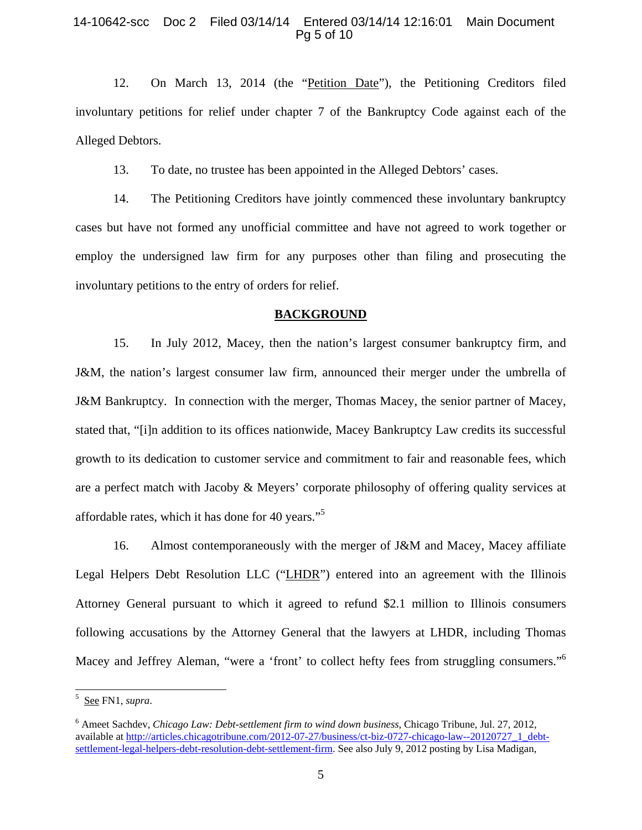### 14-10642-scc Doc 2 Filed 03/14/14 Entered 03/14/14 12:16:01 Main Document Pg 5 of 10

12. On March 13, 2014 (the "Petition Date"), the Petitioning Creditors filed involuntary petitions for relief under chapter 7 of the Bankruptcy Code against each of the Alleged Debtors.

13. To date, no trustee has been appointed in the Alleged Debtors' cases.

14. The Petitioning Creditors have jointly commenced these involuntary bankruptcy cases but have not formed any unofficial committee and have not agreed to work together or employ the undersigned law firm for any purposes other than filing and prosecuting the involuntary petitions to the entry of orders for relief.

#### **BACKGROUND**

15. In July 2012, Macey, then the nation's largest consumer bankruptcy firm, and J&M, the nation's largest consumer law firm, announced their merger under the umbrella of J&M Bankruptcy. In connection with the merger, Thomas Macey, the senior partner of Macey, stated that, "[i]n addition to its offices nationwide, Macey Bankruptcy Law credits its successful growth to its dedication to customer service and commitment to fair and reasonable fees, which are a perfect match with Jacoby & Meyers' corporate philosophy of offering quality services at affordable rates, which it has done for 40 years."<sup>5</sup>

16. Almost contemporaneously with the merger of J&M and Macey, Macey affiliate Legal Helpers Debt Resolution LLC ("LHDR") entered into an agreement with the Illinois Attorney General pursuant to which it agreed to refund \$2.1 million to Illinois consumers following accusations by the Attorney General that the lawyers at LHDR, including Thomas Macey and Jeffrey Aleman, "were a 'front' to collect hefty fees from struggling consumers."<sup>6</sup>

<sup>5</sup> See FN1, *supra*.

<sup>6</sup> Ameet Sachdev, *Chicago Law: Debt-settlement firm to wind down business*, Chicago Tribune, Jul. 27, 2012, available at http://articles.chicagotribune.com/2012-07-27/business/ct-biz-0727-chicago-law--20120727\_1\_debtsettlement-legal-helpers-debt-resolution-debt-settlement-firm. See also July 9, 2012 posting by Lisa Madigan,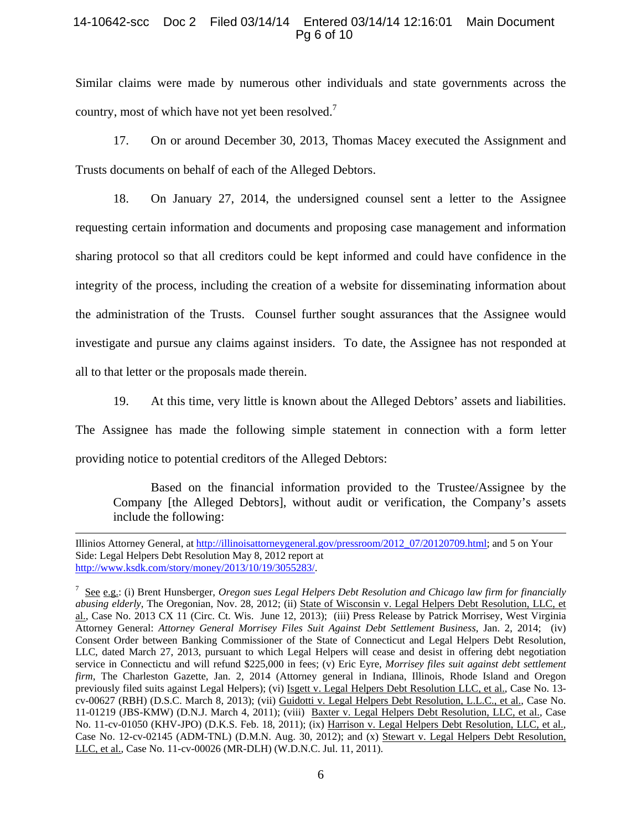## 14-10642-scc Doc 2 Filed 03/14/14 Entered 03/14/14 12:16:01 Main Document Pg 6 of 10

Similar claims were made by numerous other individuals and state governments across the country, most of which have not yet been resolved.<sup>7</sup>

17. On or around December 30, 2013, Thomas Macey executed the Assignment and Trusts documents on behalf of each of the Alleged Debtors.

18. On January 27, 2014, the undersigned counsel sent a letter to the Assignee requesting certain information and documents and proposing case management and information sharing protocol so that all creditors could be kept informed and could have confidence in the integrity of the process, including the creation of a website for disseminating information about the administration of the Trusts. Counsel further sought assurances that the Assignee would investigate and pursue any claims against insiders. To date, the Assignee has not responded at all to that letter or the proposals made therein.

19. At this time, very little is known about the Alleged Debtors' assets and liabilities.

The Assignee has made the following simple statement in connection with a form letter providing notice to potential creditors of the Alleged Debtors:

Based on the financial information provided to the Trustee/Assignee by the Company [the Alleged Debtors], without audit or verification, the Company's assets include the following:

÷,

Illinios Attorney General, at http://illinoisattorneygeneral.gov/pressroom/2012\_07/20120709.html; and 5 on Your Side: Legal Helpers Debt Resolution May 8, 2012 report at http://www.ksdk.com/story/money/2013/10/19/3055283/.

<sup>7</sup> See e.g.: (i) Brent Hunsberger, *Oregon sues Legal Helpers Debt Resolution and Chicago law firm for financially abusing elderly*, The Oregonian, Nov. 28, 2012; (ii) State of Wisconsin v. Legal Helpers Debt Resolution, LLC, et al., Case No. 2013 CX 11 (Circ. Ct. Wis. June 12, 2013); (iii) Press Release by Patrick Morrisey, West Virginia Attorney General: *Attorney General Morrisey Files Suit Against Debt Settlement Business*, Jan. 2, 2014; (iv) Consent Order between Banking Commissioner of the State of Connecticut and Legal Helpers Debt Resolution, LLC, dated March 27, 2013, pursuant to which Legal Helpers will cease and desist in offering debt negotiation service in Connectictu and will refund \$225,000 in fees; (v) Eric Eyre, *Morrisey files suit against debt settlement firm*, The Charleston Gazette, Jan. 2, 2014 (Attorney general in Indiana, Illinois, Rhode Island and Oregon previously filed suits against Legal Helpers); (vi) Isgett v. Legal Helpers Debt Resolution LLC, et al., Case No. 13 cv-00627 (RBH) (D.S.C. March 8, 2013); (vii) Guidotti v. Legal Helpers Debt Resolution, L.L.C., et al., Case No. 11-01219 (JBS-KMW) (D.N.J. March 4, 2011); (viii) Baxter v. Legal Helpers Debt Resolution, LLC, et al., Case No. 11-cv-01050 (KHV-JPO) (D.K.S. Feb. 18, 2011); (ix) Harrison v. Legal Helpers Debt Resolution, LLC, et al., Case No. 12-cv-02145 (ADM-TNL) (D.M.N. Aug. 30, 2012); and (x) Stewart v. Legal Helpers Debt Resolution, LLC, et al., Case No. 11-cv-00026 (MR-DLH) (W.D.N.C. Jul. 11, 2011).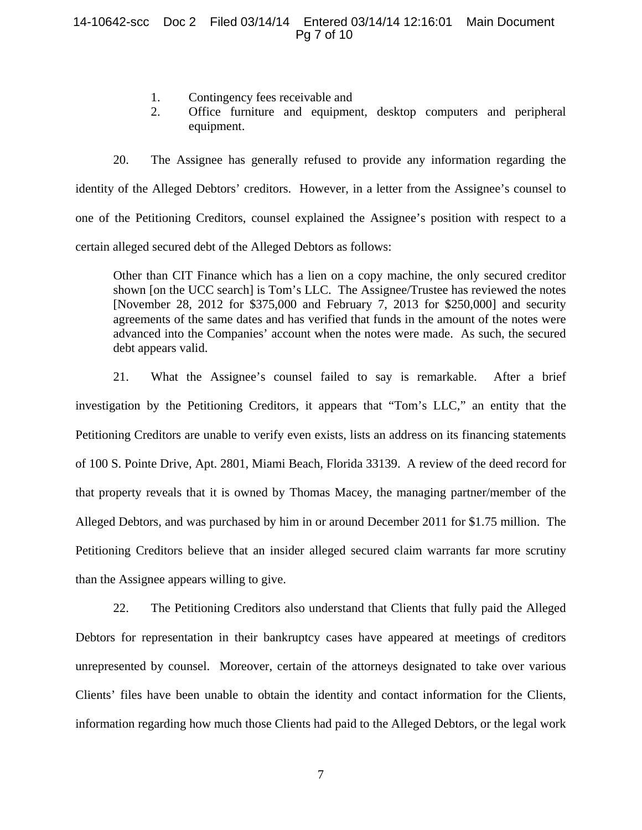## 14-10642-scc Doc 2 Filed 03/14/14 Entered 03/14/14 12:16:01 Main Document Pg 7 of 10

- 1. Contingency fees receivable and
- 2. Office furniture and equipment, desktop computers and peripheral equipment.

20. The Assignee has generally refused to provide any information regarding the identity of the Alleged Debtors' creditors. However, in a letter from the Assignee's counsel to one of the Petitioning Creditors, counsel explained the Assignee's position with respect to a certain alleged secured debt of the Alleged Debtors as follows:

Other than CIT Finance which has a lien on a copy machine, the only secured creditor shown [on the UCC search] is Tom's LLC. The Assignee/Trustee has reviewed the notes [November 28, 2012 for \$375,000 and February 7, 2013 for \$250,000] and security agreements of the same dates and has verified that funds in the amount of the notes were advanced into the Companies' account when the notes were made. As such, the secured debt appears valid.

21. What the Assignee's counsel failed to say is remarkable. After a brief investigation by the Petitioning Creditors, it appears that "Tom's LLC," an entity that the Petitioning Creditors are unable to verify even exists, lists an address on its financing statements of 100 S. Pointe Drive, Apt. 2801, Miami Beach, Florida 33139. A review of the deed record for that property reveals that it is owned by Thomas Macey, the managing partner/member of the Alleged Debtors, and was purchased by him in or around December 2011 for \$1.75 million. The Petitioning Creditors believe that an insider alleged secured claim warrants far more scrutiny than the Assignee appears willing to give.

22. The Petitioning Creditors also understand that Clients that fully paid the Alleged Debtors for representation in their bankruptcy cases have appeared at meetings of creditors unrepresented by counsel. Moreover, certain of the attorneys designated to take over various Clients' files have been unable to obtain the identity and contact information for the Clients, information regarding how much those Clients had paid to the Alleged Debtors, or the legal work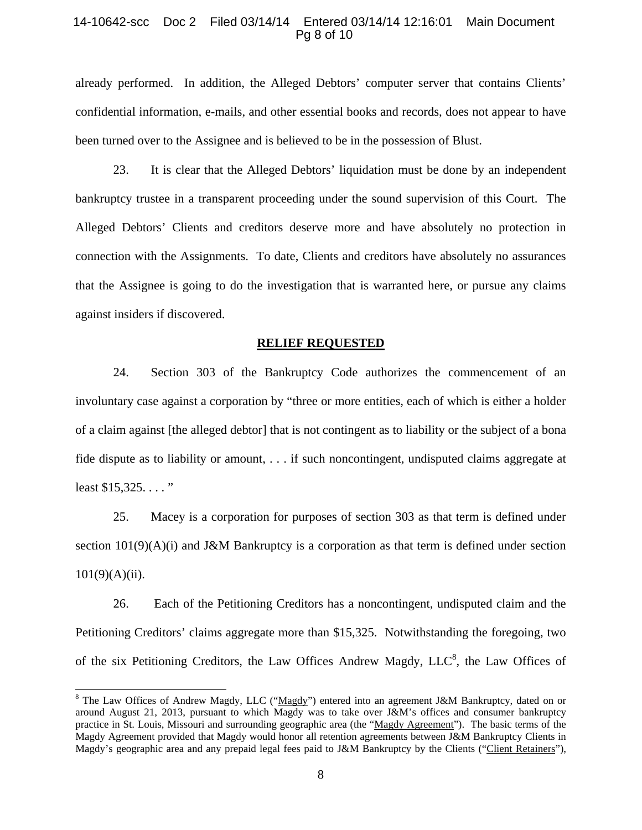### 14-10642-scc Doc 2 Filed 03/14/14 Entered 03/14/14 12:16:01 Main Document Pg 8 of 10

already performed. In addition, the Alleged Debtors' computer server that contains Clients' confidential information, e-mails, and other essential books and records, does not appear to have been turned over to the Assignee and is believed to be in the possession of Blust.

23. It is clear that the Alleged Debtors' liquidation must be done by an independent bankruptcy trustee in a transparent proceeding under the sound supervision of this Court. The Alleged Debtors' Clients and creditors deserve more and have absolutely no protection in connection with the Assignments. To date, Clients and creditors have absolutely no assurances that the Assignee is going to do the investigation that is warranted here, or pursue any claims against insiders if discovered.

#### **RELIEF REQUESTED**

24. Section 303 of the Bankruptcy Code authorizes the commencement of an involuntary case against a corporation by "three or more entities, each of which is either a holder of a claim against [the alleged debtor] that is not contingent as to liability or the subject of a bona fide dispute as to liability or amount, . . . if such noncontingent, undisputed claims aggregate at least \$15,325...."

25. Macey is a corporation for purposes of section 303 as that term is defined under section  $101(9)(A)(i)$  and J&M Bankruptcy is a corporation as that term is defined under section  $101(9)(A)(ii)$ .

26. Each of the Petitioning Creditors has a noncontingent, undisputed claim and the Petitioning Creditors' claims aggregate more than \$15,325. Notwithstanding the foregoing, two of the six Petitioning Creditors, the Law Offices Andrew Magdy, LLC<sup>8</sup>, the Law Offices of

<sup>&</sup>lt;sup>8</sup> The Law Offices of Andrew Magdy, LLC ("Magdy") entered into an agreement J&M Bankruptcy, dated on or around August 21, 2013, pursuant to which Magdy was to take over J&M's offices and consumer bankruptcy practice in St. Louis, Missouri and surrounding geographic area (the "Magdy Agreement"). The basic terms of the Magdy Agreement provided that Magdy would honor all retention agreements between J&M Bankruptcy Clients in Magdy's geographic area and any prepaid legal fees paid to J&M Bankruptcy by the Clients ("Client Retainers"),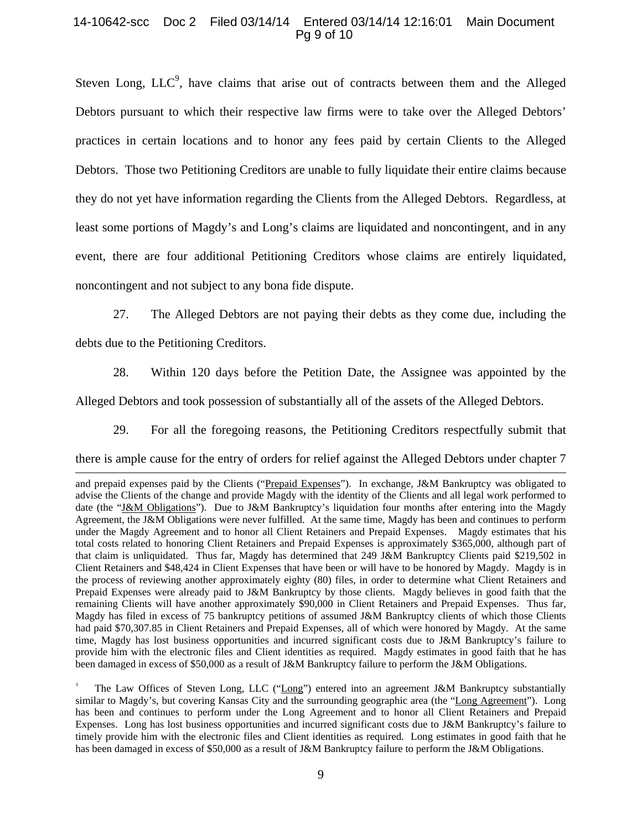### 14-10642-scc Doc 2 Filed 03/14/14 Entered 03/14/14 12:16:01 Main Document Pg 9 of 10

Steven Long,  $LLC<sup>9</sup>$ , have claims that arise out of contracts between them and the Alleged Debtors pursuant to which their respective law firms were to take over the Alleged Debtors' practices in certain locations and to honor any fees paid by certain Clients to the Alleged Debtors. Those two Petitioning Creditors are unable to fully liquidate their entire claims because they do not yet have information regarding the Clients from the Alleged Debtors. Regardless, at least some portions of Magdy's and Long's claims are liquidated and noncontingent, and in any event, there are four additional Petitioning Creditors whose claims are entirely liquidated, noncontingent and not subject to any bona fide dispute.

27. The Alleged Debtors are not paying their debts as they come due, including the debts due to the Petitioning Creditors.

28. Within 120 days before the Petition Date, the Assignee was appointed by the

Alleged Debtors and took possession of substantially all of the assets of the Alleged Debtors.

29. For all the foregoing reasons, the Petitioning Creditors respectfully submit that

there is ample cause for the entry of orders for relief against the Alleged Debtors under chapter 7

and prepaid expenses paid by the Clients ("Prepaid Expenses"). In exchange, J&M Bankruptcy was obligated to advise the Clients of the change and provide Magdy with the identity of the Clients and all legal work performed to date (the "J&M Obligations"). Due to J&M Bankruptcy's liquidation four months after entering into the Magdy Agreement, the J&M Obligations were never fulfilled. At the same time, Magdy has been and continues to perform under the Magdy Agreement and to honor all Client Retainers and Prepaid Expenses. Magdy estimates that his total costs related to honoring Client Retainers and Prepaid Expenses is approximately \$365,000, although part of that claim is unliquidated. Thus far, Magdy has determined that 249 J&M Bankruptcy Clients paid \$219,502 in Client Retainers and \$48,424 in Client Expenses that have been or will have to be honored by Magdy. Magdy is in the process of reviewing another approximately eighty (80) files, in order to determine what Client Retainers and Prepaid Expenses were already paid to J&M Bankruptcy by those clients. Magdy believes in good faith that the remaining Clients will have another approximately \$90,000 in Client Retainers and Prepaid Expenses. Thus far, Magdy has filed in excess of 75 bankruptcy petitions of assumed J&M Bankruptcy clients of which those Clients had paid \$70,307.85 in Client Retainers and Prepaid Expenses, all of which were honored by Magdy. At the same time, Magdy has lost business opportunities and incurred significant costs due to J&M Bankruptcy's failure to provide him with the electronic files and Client identities as required. Magdy estimates in good faith that he has been damaged in excess of \$50,000 as a result of J&M Bankruptcy failure to perform the J&M Obligations.

<sup>9</sup> The Law Offices of Steven Long, LLC ("Long") entered into an agreement J&M Bankruptcy substantially similar to Magdy's, but covering Kansas City and the surrounding geographic area (the "Long Agreement"). Long has been and continues to perform under the Long Agreement and to honor all Client Retainers and Prepaid Expenses. Long has lost business opportunities and incurred significant costs due to J&M Bankruptcy's failure to timely provide him with the electronic files and Client identities as required. Long estimates in good faith that he has been damaged in excess of \$50,000 as a result of J&M Bankruptcy failure to perform the J&M Obligations.